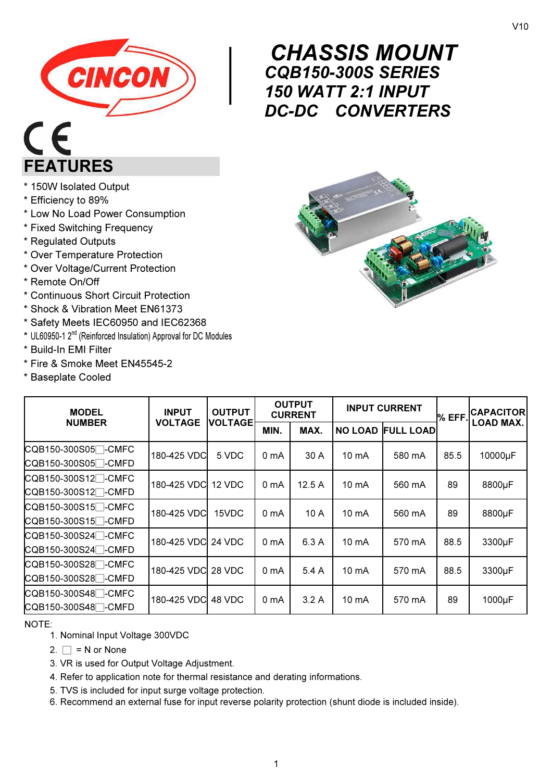

# $C<sub>f</sub>$ FEATURES

#### \* 150W Isolated Output

- \* Efficiency to 89%
- \* Low No Load Power Consumption
- \* Fixed Switching Frequency
- \* Regulated Outputs
- \* Over Temperature Protection
- \* Over Voltage/Current Protection
- \* Remote On/Off
- \* Continuous Short Circuit Protection
- \* Shock & Vibration Meet EN61373
- \* Safety Meets IEC60950 and IEC62368
- \* UL60950-1 2nd (Reinforced Insulation) Approval for DC Modules
- \* Build-In EMI Filter
- \* Fire & Smoke Meet EN45545-2
- \* Baseplate Cooled

### $\begin{array}{c}\nC \\
C \\
1!\n\end{array}$ CHASSIS MOUNT CQB150-300S SERIES 150 WATT 2:1 INPUT DC-DC CONVERTERS



| <b>MODEL</b><br><b>NUMBER</b>                                      | <b>INPUT</b><br><b>VOLTAGE</b> | <b>OUTPUT</b><br><b>VOLTAGEI</b> | <b>OUTPUT</b><br><b>CURRENT</b> |       | <b>INPUT CURRENT</b> |                          | % EFF | <b>CAPACITOR</b> |
|--------------------------------------------------------------------|--------------------------------|----------------------------------|---------------------------------|-------|----------------------|--------------------------|-------|------------------|
|                                                                    |                                |                                  | MIN.                            | MAX.  |                      | <b>NO LOAD FULL LOAD</b> |       | <b>LOAD MAX.</b> |
| CQB150-300S05 <sup>-</sup> CMFC<br>CQB150-300S05 <sup>-</sup> CMFD | 180-425 VDC                    | 5 VDC                            | 0 <sub>m</sub> A                | 30 A  | $10 \text{ mA}$      | 580 mA                   | 85.5  | 10000µF          |
| CQB150-300S12 <sup>-</sup> CMFC<br>CQB150-300S12 <sup>-</sup> CMFD | 180-425 VDC 12 VDC             |                                  | 0 <sub>mA</sub>                 | 12.5A | 10 mA                | 560 mA                   | 89    | 8800µF           |
| CQB150-300S15 <sup>-</sup> CMFC<br>CQB150-300S15 <sup>-</sup> CMFD | 180-425 VDC                    | 15VDC                            | 0 <sub>mA</sub>                 | 10A   | $10 \text{ mA}$      | 560 mA                   | 89    | 8800µF           |
| CQB150-300S24 <sup>-</sup> CMFC<br>CQB150-300S24 <sup>-</sup> CMFD | 180-425 VDC 24 VDC             |                                  | 0 <sub>mA</sub>                 | 6.3A  | 10 mA                | 570 mA                   | 88.5  | 3300µF           |
| CQB150-300S28 <sup>-</sup> CMFC<br>CQB150-300S28 <sup>-</sup> CMFD | 180-425 VDC 28 VDC             |                                  | 0 <sub>mA</sub>                 | 5.4A  | 10 mA                | 570 mA                   | 88.5  | 3300µF           |
| CQB150-300S48 <sup>-</sup> CMFC<br>CQB150-300S48 <sup>-</sup> CMFD | 180-425 VDC 48 VDC             |                                  | 0 <sub>m</sub> A                | 3.2A  | 10 mA                | 570 mA                   | 89    | 1000µF           |

NOTE:

- 1. Nominal Input Voltage 300VDC
- 2.  $\Box$  = N or None
- 3. VR is used for Output Voltage Adjustment.
- 4. Refer to application note for thermal resistance and derating informations.
- 5. TVS is included for input surge voltage protection.
- 6. Recommend an external fuse for input reverse polarity protection (shunt diode is included inside).